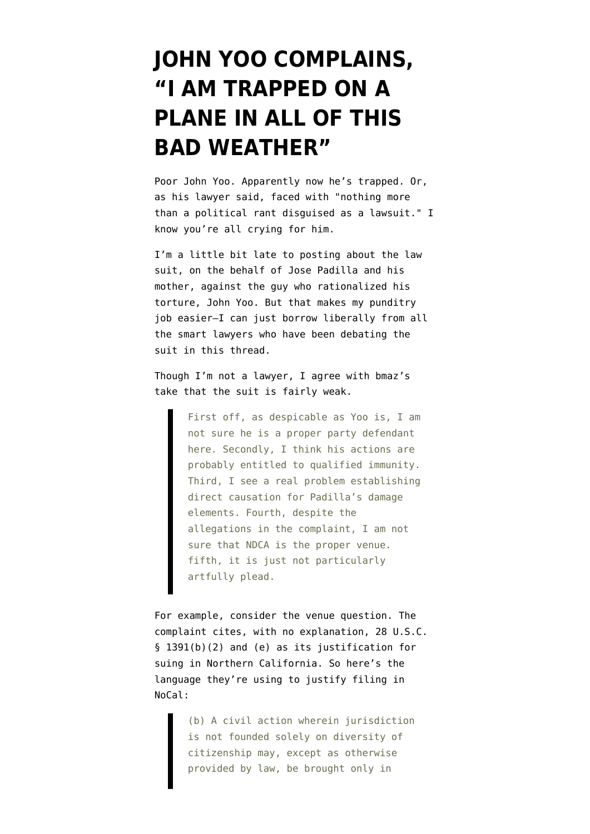## **[JOHN YOO COMPLAINS,](https://www.emptywheel.net/2008/01/05/john-yoo-complains-i-am-trapped-on-a-plane-in-all-of-this-bad-weather/) ["I AM TRAPPED ON A](https://www.emptywheel.net/2008/01/05/john-yoo-complains-i-am-trapped-on-a-plane-in-all-of-this-bad-weather/) [PLANE IN ALL OF THIS](https://www.emptywheel.net/2008/01/05/john-yoo-complains-i-am-trapped-on-a-plane-in-all-of-this-bad-weather/) [BAD WEATHER"](https://www.emptywheel.net/2008/01/05/john-yoo-complains-i-am-trapped-on-a-plane-in-all-of-this-bad-weather/)**

Poor John Yoo. Apparently now [he's trapped](http://blogs.wsj.com/law/2008/01/04/jose-padilla-backed-by-yale-law-school-sues-john-yoo/). Or, as his lawyer said, faced with "nothing more than a political rant disguised as a lawsuit." I know you're all crying for him.

I'm a little bit late to posting about the [law](http://howappealing.law.com/PadillaVsYooComplaint.pdf) [suit](http://howappealing.law.com/PadillaVsYooComplaint.pdf), on the behalf of Jose Padilla and his mother, against the guy who rationalized his torture, John Yoo. But that makes my punditry job easier–I can just borrow liberally from all the smart lawyers who have been debating the suit in [this thread](http://emptywheel.firedoglake.com/2008/01/04/how-doj-put-off-confessing-to-their-pixie-dust/).

Though I'm not a lawyer, I agree with [bmaz's](http://emptywheel.firedoglake.com/2008/01/04/how-doj-put-off-confessing-to-their-pixie-dust/#comment-42166) [take](http://emptywheel.firedoglake.com/2008/01/04/how-doj-put-off-confessing-to-their-pixie-dust/#comment-42166) that the suit is fairly weak.

> First off, as despicable as Yoo is, I am not sure he is a proper party defendant here. Secondly, I think his actions are probably entitled to qualified immunity. Third, I see a real problem establishing direct causation for Padilla's damage elements. Fourth, despite the allegations in the complaint, I am not sure that NDCA is the proper venue. fifth, it is just not particularly artfully plead.

For example, consider the venue question. The complaint cites, with no explanation, 28 U.S.C. § 1391(b)(2) and (e) as its justification for suing in Northern California. So here's the [language they're using](http://www.law.cornell.edu/uscode/28/1391.html) to justify filing in NoCal:

> (b) A civil action wherein jurisdiction is not founded solely on diversity of citizenship may, except as otherwise provided by law, be brought only in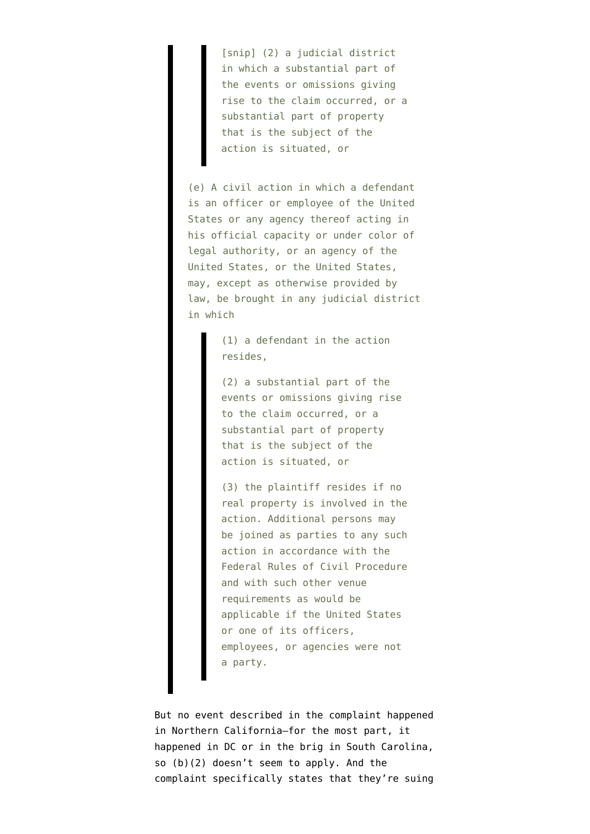[snip] (2) a judicial district in which a substantial part of the events or omissions giving rise to the claim occurred, or a substantial part of property that is the subject of the action is situated, or

(e) A civil action in which a defendant is an officer or employee of the United States or any agency thereof acting in his official capacity or under color of legal authority, or an agency of the United States, or the United States, may, except as otherwise provided by law, be brought in any judicial district in which

> (1) a defendant in the action resides,

(2) a substantial part of the events or omissions giving rise to the claim occurred, or a substantial part of property that is the subject of the action is situated, or

(3) the plaintiff resides if no real property is involved in the action. Additional persons may be joined as parties to any such action in accordance with the Federal Rules of Civil Procedure and with such other venue requirements as would be applicable if the United States or one of its officers, employees, or agencies were not a party.

But no event described in the complaint happened in Northern California–for the most part, it happened in DC or in the brig in South Carolina, so (b)(2) doesn't seem to apply. And the complaint specifically states that they're suing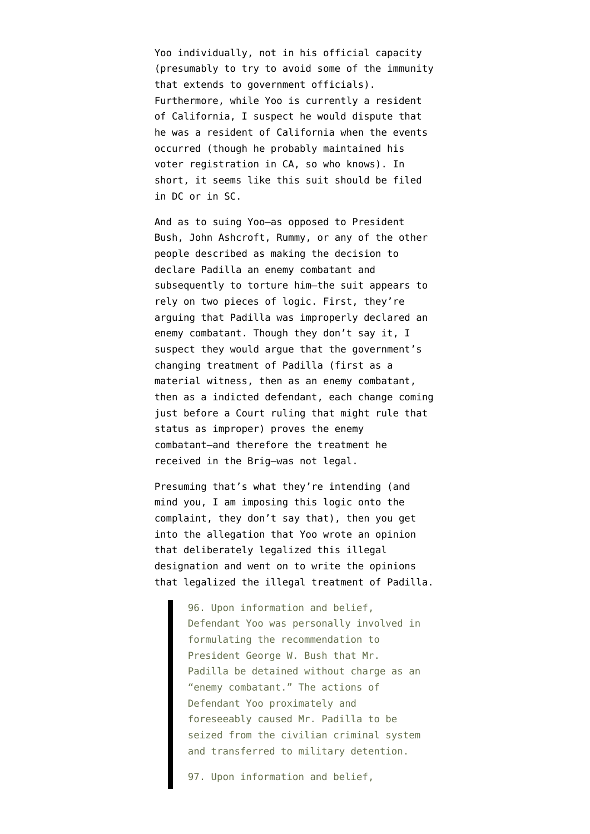Yoo individually, not in his official capacity (presumably to try to avoid some of the immunity that extends to government officials). Furthermore, while Yoo is currently a resident of California, I suspect he would dispute that he was a resident of California when the events occurred (though he probably maintained his voter registration in CA, so who knows). In short, it seems like this suit should be filed in DC or in SC.

And as to suing Yoo–as opposed to President Bush, John Ashcroft, Rummy, or any of the other people described as making the decision to declare Padilla an enemy combatant and subsequently to torture him–the suit appears to rely on two pieces of logic. First, they're arguing that Padilla was improperly declared an enemy combatant. Though they don't say it, I suspect they would argue that the government's changing treatment of Padilla (first as a material witness, then as an enemy combatant, then as a indicted defendant, each change coming just before a Court ruling that might rule that status as improper) proves the enemy combatant–and therefore the treatment he received in the Brig–was not legal.

Presuming that's what they're intending (and mind you, I am imposing this logic onto the complaint, they don't say that), then you get into the allegation that Yoo wrote an opinion that deliberately legalized this illegal designation and went on to write the opinions that legalized the illegal treatment of Padilla.

> 96. Upon information and belief, Defendant Yoo was personally involved in formulating the recommendation to President George W. Bush that Mr. Padilla be detained without charge as an "enemy combatant." The actions of Defendant Yoo proximately and foreseeably caused Mr. Padilla to be seized from the civilian criminal system and transferred to military detention.

97. Upon information and belief,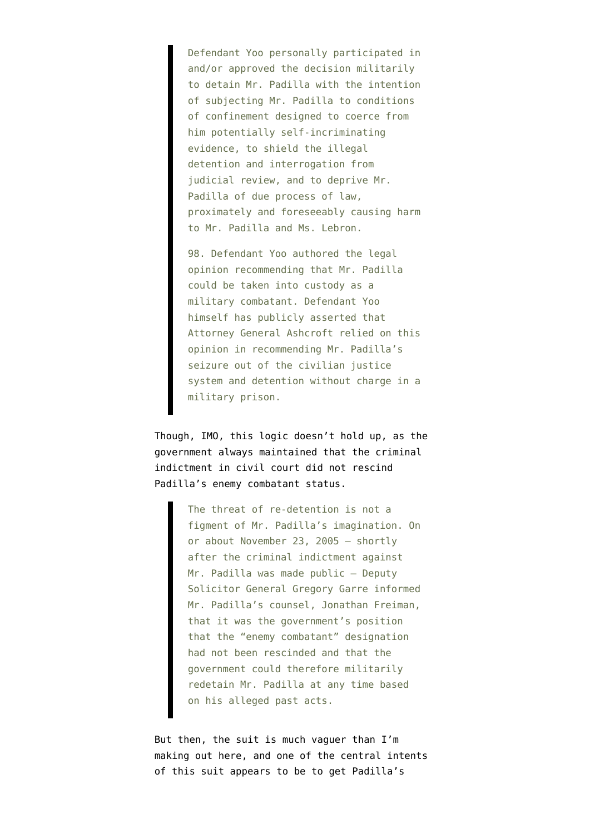Defendant Yoo personally participated in and/or approved the decision militarily to detain Mr. Padilla with the intention of subjecting Mr. Padilla to conditions of confinement designed to coerce from him potentially self-incriminating evidence, to shield the illegal detention and interrogation from judicial review, and to deprive Mr. Padilla of due process of law, proximately and foreseeably causing harm to Mr. Padilla and Ms. Lebron.

98. Defendant Yoo authored the legal opinion recommending that Mr. Padilla could be taken into custody as a military combatant. Defendant Yoo himself has publicly asserted that Attorney General Ashcroft relied on this opinion in recommending Mr. Padilla's seizure out of the civilian justice system and detention without charge in a military prison.

Though, IMO, this logic doesn't hold up, as the government always maintained that the criminal indictment in civil court did not rescind Padilla's enemy combatant status.

> The threat of re-detention is not a figment of Mr. Padilla's imagination. On or about November 23, 2005 – shortly after the criminal indictment against Mr. Padilla was made public – Deputy Solicitor General Gregory Garre informed Mr. Padilla's counsel, Jonathan Freiman, that it was the government's position that the "enemy combatant" designation had not been rescinded and that the government could therefore militarily redetain Mr. Padilla at any time based on his alleged past acts.

But then, the suit is much vaguer than I'm making out here, and one of the central intents of this suit appears to be to get Padilla's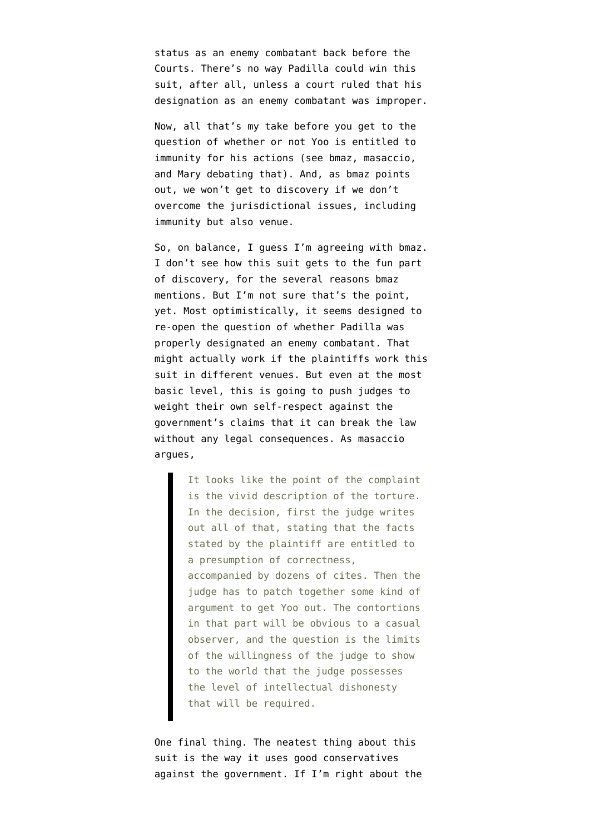status as an enemy combatant back before the Courts. There's no way Padilla could win this suit, after all, unless a court ruled that his designation as an enemy combatant was improper.

Now, all that's my take before you get to the question of whether or not Yoo is entitled to immunity for his actions (see [bmaz](http://emptywheel.firedoglake.com/2008/01/04/how-doj-put-off-confessing-to-their-pixie-dust/#comment-42258), [masaccio](http://emptywheel.firedoglake.com/2008/01/04/how-doj-put-off-confessing-to-their-pixie-dust/#comment-42218), and [Mary](http://emptywheel.firedoglake.com/2008/01/04/how-doj-put-off-confessing-to-their-pixie-dust/#comment-42252) debating that). And, as [bmaz](http://emptywheel.firedoglake.com/2008/01/04/how-doj-put-off-confessing-to-their-pixie-dust/#comment-42216) points out, we won't get to discovery if we don't overcome the jurisdictional issues, including immunity but also venue.

So, on balance, I guess I'm agreeing with bmaz. I don't see how this suit gets to the fun part of discovery, for the several reasons bmaz mentions. But I'm not sure that's the point, yet. Most optimistically, it seems designed to re-open the question of whether Padilla was properly designated an enemy combatant. That might actually work if the plaintiffs work this suit in different venues. But even at the most basic level, this is going to push judges to weight their own self-respect against the government's claims that it can break the law without any legal consequences. As [masaccio](http://emptywheel.firedoglake.com/2008/01/04/how-doj-put-off-confessing-to-their-pixie-dust/#comment-42266) argues,

> It looks like the point of the complaint is the vivid description of the torture. In the decision, first the judge writes out all of that, stating that the facts stated by the plaintiff are entitled to a presumption of correctness, accompanied by dozens of cites. Then the judge has to patch together some kind of argument to get Yoo out. The contortions in that part will be obvious to a casual observer, and the question is the limits of the willingness of the judge to show to the world that the judge possesses the level of intellectual dishonesty that will be required.

One final thing. The neatest thing about this suit is the way it uses good conservatives against the government. If I'm right about the